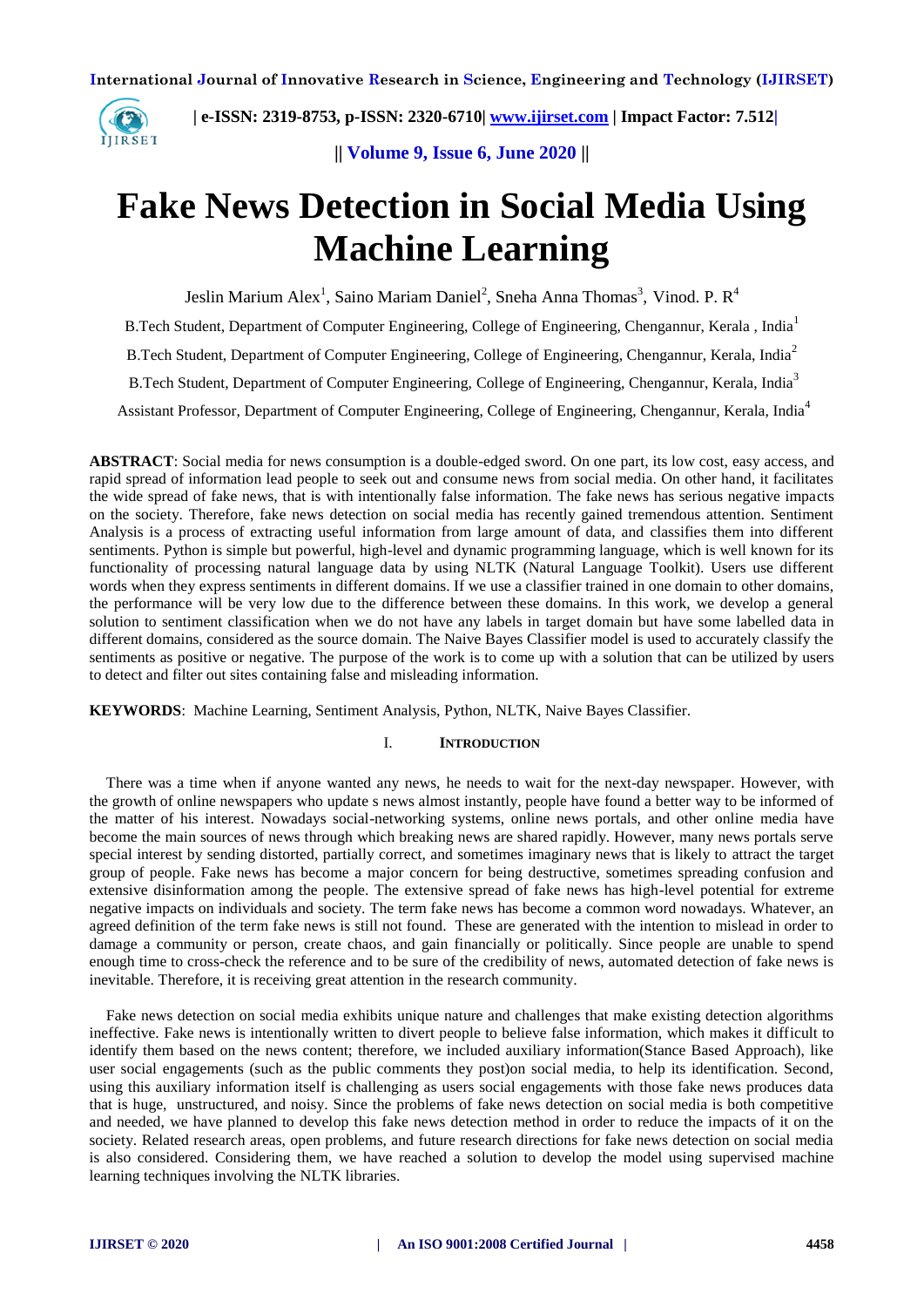

 **| e-ISSN: 2319-8753, p-ISSN: 2320-6710[| www.ijirset.com](http://www.ijirset.com/) | Impact Factor: 7.512|**

**|| Volume 9, Issue 6, June 2020 ||** 

# **Fake News Detection in Social Media Using Machine Learning**

Jeslin Marium Alex<sup>1</sup>, Saino Mariam Daniel<sup>2</sup>, Sneha Anna Thomas<sup>3</sup>, Vinod. P. R<sup>4</sup>

B.Tech Student, Department of Computer Engineering, College of Engineering, Chengannur, Kerala , India<sup>1</sup>

B.Tech Student, Department of Computer Engineering, College of Engineering, Chengannur, Kerala, India<sup>2</sup>

B.Tech Student, Department of Computer Engineering, College of Engineering, Chengannur, Kerala, India<sup>3</sup>

Assistant Professor, Department of Computer Engineering, College of Engineering, Chengannur, Kerala, India<sup>4</sup>

**ABSTRACT**: Social media for news consumption is a double-edged sword. On one part, its low cost, easy access, and rapid spread of information lead people to seek out and consume news from social media. On other hand, it facilitates the wide spread of fake news, that is with intentionally false information. The fake news has serious negative impacts on the society. Therefore, fake news detection on social media has recently gained tremendous attention. Sentiment Analysis is a process of extracting useful information from large amount of data, and classifies them into different sentiments. Python is simple but powerful, high-level and dynamic programming language, which is well known for its functionality of processing natural language data by using NLTK (Natural Language Toolkit). Users use different words when they express sentiments in different domains. If we use a classifier trained in one domain to other domains, the performance will be very low due to the difference between these domains. In this work, we develop a general solution to sentiment classification when we do not have any labels in target domain but have some labelled data in different domains, considered as the source domain. The Naive Bayes Classifier model is used to accurately classify the sentiments as positive or negative. The purpose of the work is to come up with a solution that can be utilized by users to detect and filter out sites containing false and misleading information.

**KEYWORDS**:Machine Learning, Sentiment Analysis, Python, NLTK, Naive Bayes Classifier.

#### I. **INTRODUCTION**

There was a time when if anyone wanted any news, he needs to wait for the next-day newspaper. However, with the growth of online newspapers who update s news almost instantly, people have found a better way to be informed of the matter of his interest. Nowadays social-networking systems, online news portals, and other online media have become the main sources of news through which breaking news are shared rapidly. However, many news portals serve special interest by sending distorted, partially correct, and sometimes imaginary news that is likely to attract the target group of people. Fake news has become a major concern for being destructive, sometimes spreading confusion and extensive disinformation among the people. The extensive spread of fake news has high-level potential for extreme negative impacts on individuals and society. The term fake news has become a common word nowadays. Whatever, an agreed definition of the term fake news is still not found. These are generated with the intention to mislead in order to damage a community or person, create chaos, and gain financially or politically. Since people are unable to spend enough time to cross-check the reference and to be sure of the credibility of news, automated detection of fake news is inevitable. Therefore, it is receiving great attention in the research community.

Fake news detection on social media exhibits unique nature and challenges that make existing detection algorithms ineffective. Fake news is intentionally written to divert people to believe false information, which makes it difficult to identify them based on the news content; therefore, we included auxiliary information(Stance Based Approach), like user social engagements (such as the public comments they post)on social media, to help its identification. Second, using this auxiliary information itself is challenging as users social engagements with those fake news produces data that is huge, unstructured, and noisy. Since the problems of fake news detection on social media is both competitive and needed, we have planned to develop this fake news detection method in order to reduce the impacts of it on the society. Related research areas, open problems, and future research directions for fake news detection on social media is also considered. Considering them, we have reached a solution to develop the model using supervised machine learning techniques involving the NLTK libraries.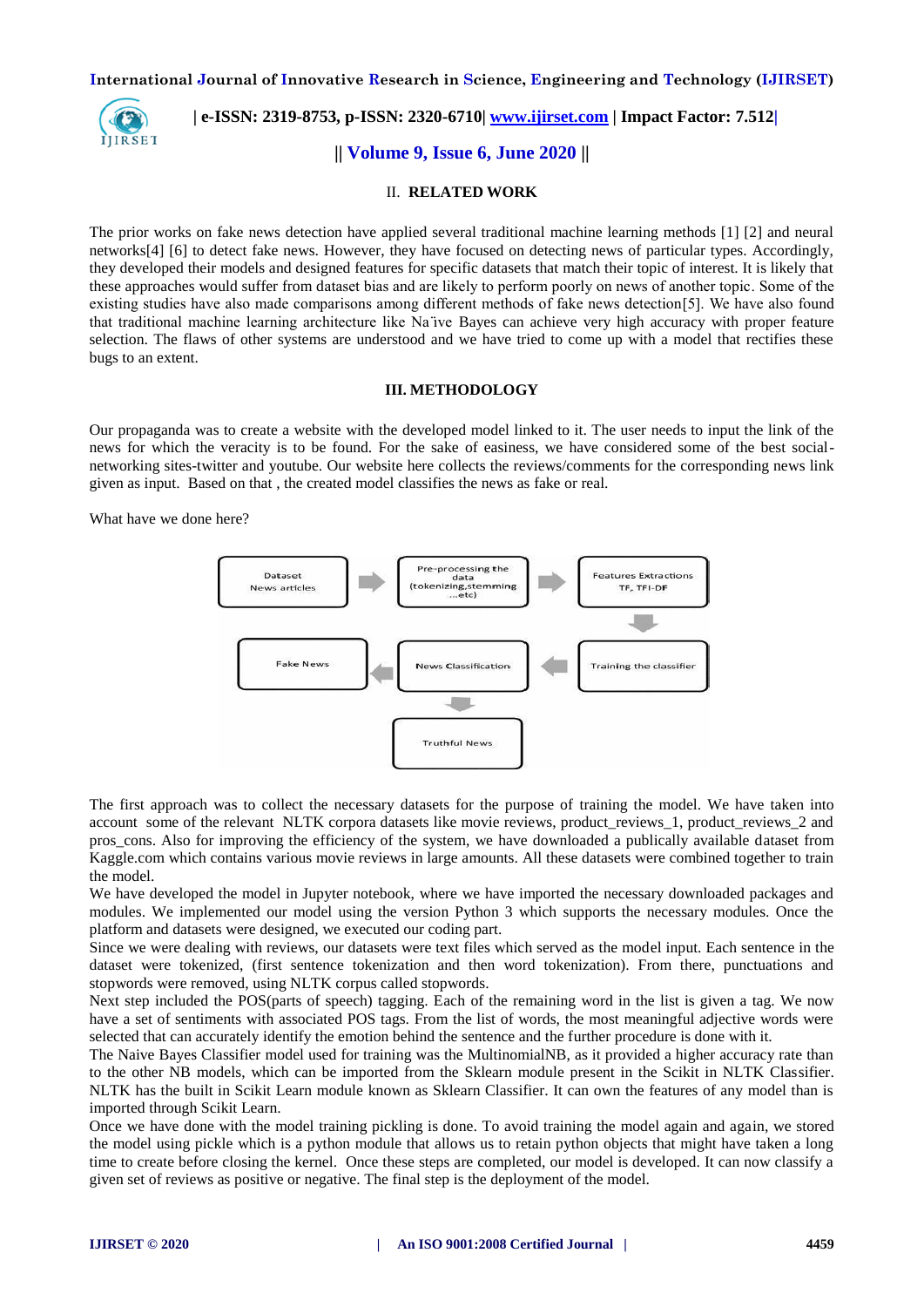

# **| e-ISSN: 2319-8753, p-ISSN: 2320-6710[| www.ijirset.com](http://www.ijirset.com/) | Impact Factor: 7.512|**

**|| Volume 9, Issue 6, June 2020 ||** 

## II. **RELATED WORK**

The prior works on fake news detection have applied several traditional machine learning methods [1] [2] and neural networks[4] [6] to detect fake news. However, they have focused on detecting news of particular types. Accordingly, they developed their models and designed features for specific datasets that match their topic of interest. It is likely that these approaches would suffer from dataset bias and are likely to perform poorly on news of another topic. Some of the existing studies have also made comparisons among different methods of fake news detection[5]. We have also found that traditional machine learning architecture like Na'ive Bayes can achieve very high accuracy with proper feature selection. The flaws of other systems are understood and we have tried to come up with a model that rectifies these bugs to an extent.

## **III. METHODOLOGY**

Our propaganda was to create a website with the developed model linked to it. The user needs to input the link of the news for which the veracity is to be found. For the sake of easiness, we have considered some of the best socialnetworking sites-twitter and youtube. Our website here collects the reviews/comments for the corresponding news link given as input. Based on that , the created model classifies the news as fake or real.

What have we done here?



The first approach was to collect the necessary datasets for the purpose of training the model. We have taken into account some of the relevant NLTK corpora datasets like movie reviews, product\_reviews\_1, product\_reviews\_2 and pros\_cons. Also for improving the efficiency of the system, we have downloaded a publically available dataset from Kaggle.com which contains various movie reviews in large amounts. All these datasets were combined together to train the model.

We have developed the model in Jupyter notebook, where we have imported the necessary downloaded packages and modules. We implemented our model using the version Python 3 which supports the necessary modules. Once the platform and datasets were designed, we executed our coding part.

Since we were dealing with reviews, our datasets were text files which served as the model input. Each sentence in the dataset were tokenized, (first sentence tokenization and then word tokenization). From there, punctuations and stopwords were removed, using NLTK corpus called stopwords.

Next step included the POS(parts of speech) tagging. Each of the remaining word in the list is given a tag. We now have a set of sentiments with associated POS tags. From the list of words, the most meaningful adjective words were selected that can accurately identify the emotion behind the sentence and the further procedure is done with it.

The Naive Bayes Classifier model used for training was the MultinomialNB, as it provided a higher accuracy rate than to the other NB models, which can be imported from the Sklearn module present in the Scikit in NLTK Classifier. NLTK has the built in Scikit Learn module known as Sklearn Classifier. It can own the features of any model than is imported through Scikit Learn.

Once we have done with the model training pickling is done. To avoid training the model again and again, we stored the model using pickle which is a python module that allows us to retain python objects that might have taken a long time to create before closing the kernel. Once these steps are completed, our model is developed. It can now classify a given set of reviews as positive or negative. The final step is the deployment of the model.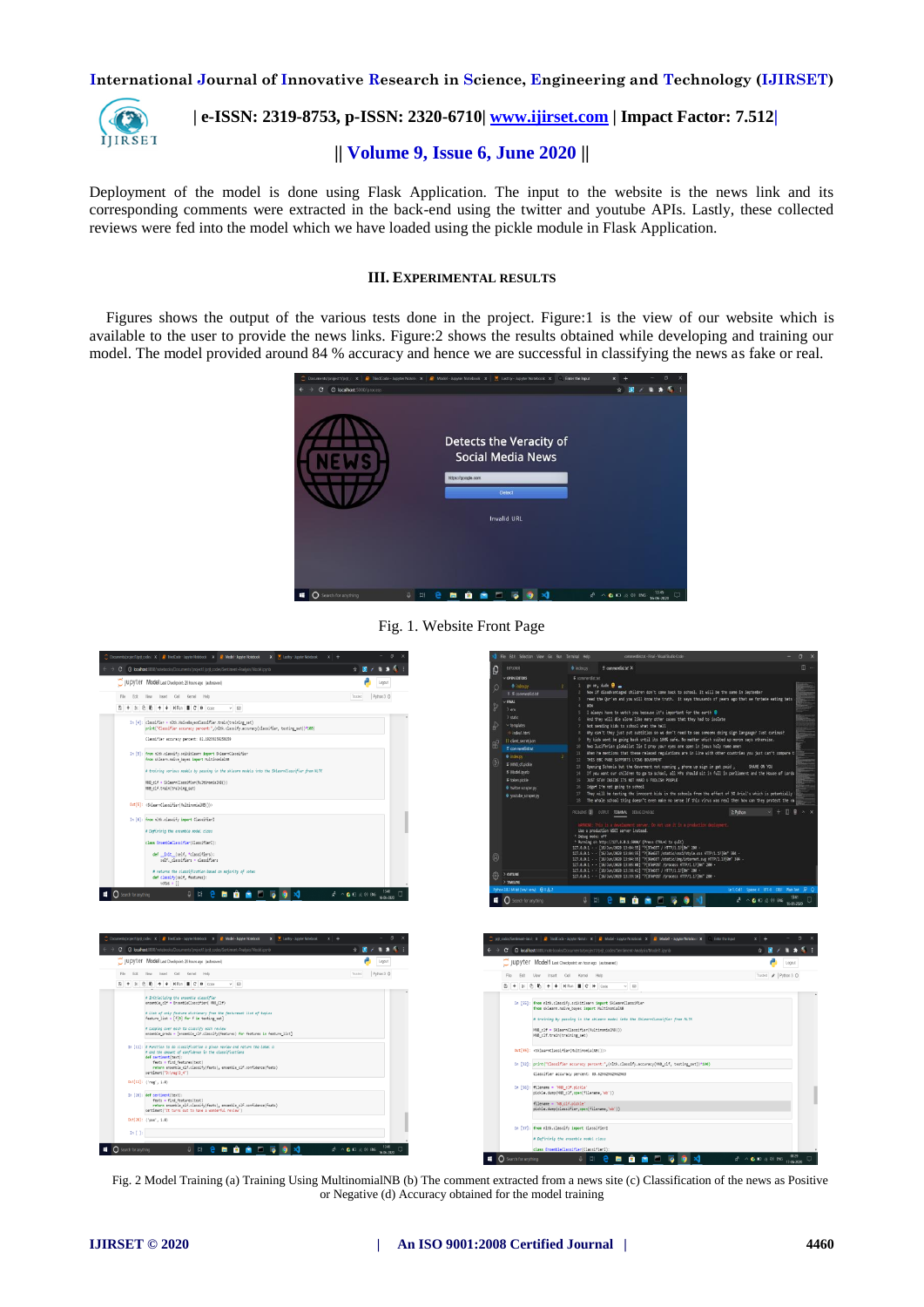

# **| e-ISSN: 2319-8753, p-ISSN: 2320-6710[| www.ijirset.com](http://www.ijirset.com/) | Impact Factor: 7.512|**

# **|| Volume 9, Issue 6, June 2020 ||**

Deployment of the model is done using Flask Application. The input to the website is the news link and its corresponding comments were extracted in the back-end using the twitter and youtube APIs. Lastly, these collected reviews were fed into the model which we have loaded using the pickle module in Flask Application.

#### **III. EXPERIMENTAL RESULTS**

Figures shows the output of the various tests done in the project. Figure:1 is the view of our website which is available to the user to provide the news links. Figure:2 shows the results obtained while developing and training our model. The model provided around 84 % accuracy and hence we are successful in classifying the news as fake or real.







Fig. 2 Model Training (a) Training Using MultinomialNB (b) The comment extracted from a news site (c) Classification of the news as Positive or Negative (d) Accuracy obtained for the model training